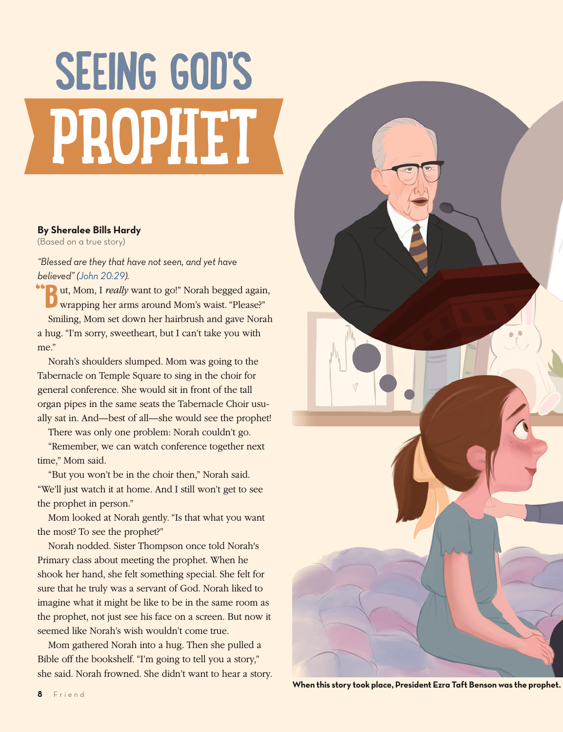## **SEEING GOD'S PROPHET**

## **By Sheralee Bills Hardy**

(Based on a true story)

*"Blessed are they that have not seen, and yet have believed" ([John 20:29](https://www.lds.org/scriptures/nt/john/20.29?lang=eng#28)).*

**"B**ut, Mom, I *really* want to go!" Norah begged again, wrapping her arms around Mom's waist. "Please?" Smiling, Mom set down her hairbrush and gave Norah a hug. "I'm sorry, sweetheart, but I can't take you with me."

Norah's shoulders slumped. Mom was going to the Tabernacle on Temple Square to sing in the choir for general conference. She would sit in front of the tall organ pipes in the same seats the Tabernacle Choir usually sat in. And—best of all—she would see the prophet!

There was only one problem: Norah couldn't go.

"Remember, we can watch conference together next time," Mom said.

"But you won't be in the choir then," Norah said. "We'll just watch it at home. And I still won't get to see the prophet in person."

Mom looked at Norah gently. "Is that what you want the most? To see the prophet?"

Norah nodded. Sister Thompson once told Norah's Primary class about meeting the prophet. When he shook her hand, she felt something special. She felt for sure that he truly was a servant of God. Norah liked to imagine what it might be like to be in the same room as the prophet, not just see his face on a screen. But now it seemed like Norah's wish wouldn't come true.

Mom gathered Norah into a hug. Then she pulled a Bible off the bookshelf. "I'm going to tell you a story," she said. Norah frowned. She didn't want to hear a story.



**When this story took place, President Ezra Taft Benson was the prophet.**